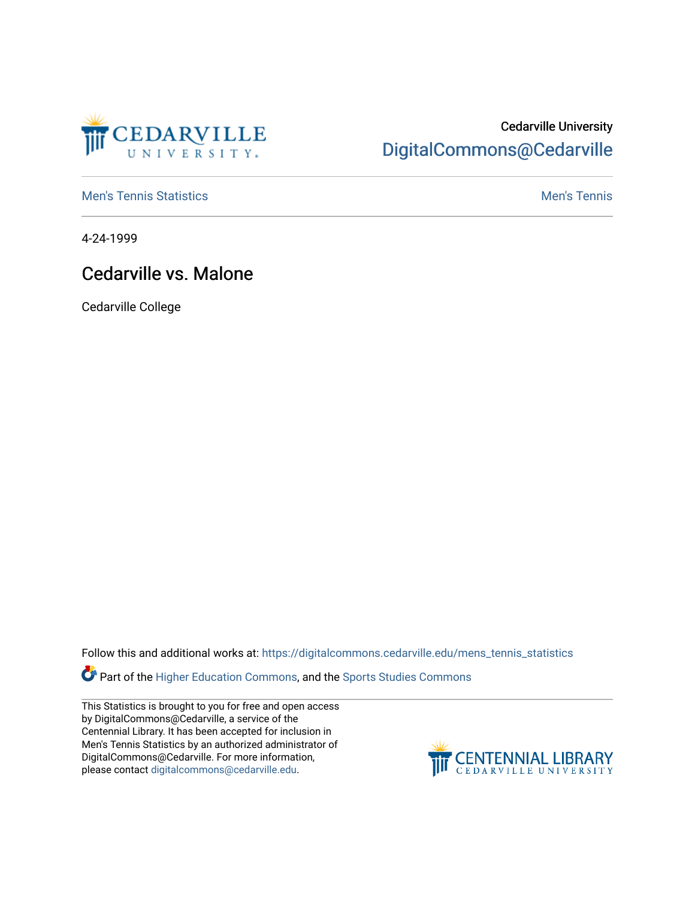

## Cedarville University [DigitalCommons@Cedarville](https://digitalcommons.cedarville.edu/)

**[Men's Tennis Statistics](https://digitalcommons.cedarville.edu/mens_tennis_statistics) Mental According to the Control of Control According Mental Men's Tennis** 

4-24-1999

## Cedarville vs. Malone

Cedarville College

Follow this and additional works at: [https://digitalcommons.cedarville.edu/mens\\_tennis\\_statistics](https://digitalcommons.cedarville.edu/mens_tennis_statistics?utm_source=digitalcommons.cedarville.edu%2Fmens_tennis_statistics%2F428&utm_medium=PDF&utm_campaign=PDFCoverPages)

**Part of the [Higher Education Commons,](http://network.bepress.com/hgg/discipline/1245?utm_source=digitalcommons.cedarville.edu%2Fmens_tennis_statistics%2F428&utm_medium=PDF&utm_campaign=PDFCoverPages) and the Sports Studies Commons** 

This Statistics is brought to you for free and open access by DigitalCommons@Cedarville, a service of the Centennial Library. It has been accepted for inclusion in Men's Tennis Statistics by an authorized administrator of DigitalCommons@Cedarville. For more information, please contact [digitalcommons@cedarville.edu](mailto:digitalcommons@cedarville.edu).